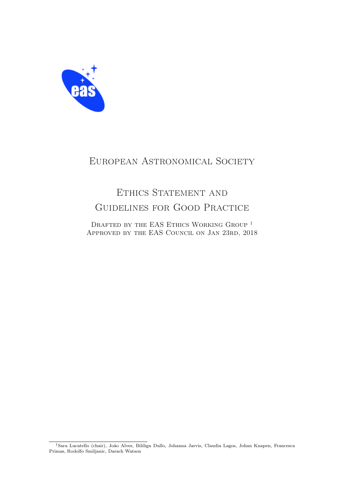

# European Astronomical Society

# ETHICS STATEMENT AND Guidelines for Good Practice

DRAFTED BY THE EAS ETHICS WORKING GROUP <sup>1</sup> Approved by the EAS Council on Jan 23rd, 2018

<sup>&</sup>lt;sup>1</sup>Sara Lucatello (chair), João Alves, Bililign Dullo, Johanna Jarvis, Claudia Lagos, Johan Knapen, Francesca Primas, Rodolfo Smiljanic, Darach Watson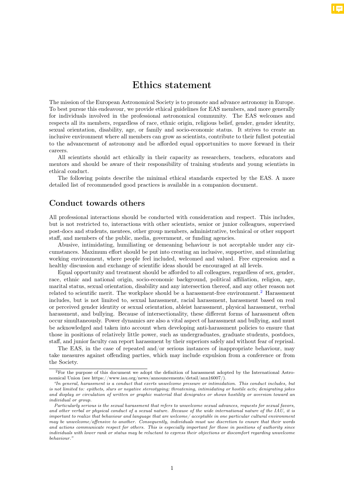## Ethics statement

The mission of the European Astronomical Society is to promote and advance astronomy in Europe. To best pursue this endeavour, we provide ethical guidelines for EAS members, and more generally for individuals involved in the professional astronomical community. The EAS welcomes and respects all its members, regardless of race, ethnic origin, religious belief, gender, gender identity, sexual orientation, disability, age, or family and socio-economic status. It strives to create an inclusive environment where all members can grow as scientists, contribute to their fullest potential to the advancement of astronomy and be afforded equal opportunities to move forward in their careers.

All scientists should act ethically in their capacity as researchers, teachers, educators and mentors and should be aware of their responsibility of training students and young scientists in ethical conduct.

The following points describe the minimal ethical standards expected by the EAS. A more detailed list of recommended good practices is available in a companion document.

### Conduct towards others

All professional interactions should be conducted with consideration and respect. This includes, but is not restricted to, interactions with other scientists, senior or junior colleagues, supervised post-docs and students, mentees, other group members, administrative, technical or other support staff, and members of the public, media, government, or funding agencies.

Abusive, intimidating, humiliating or demeaning behaviour is not acceptable under any circumstances. Maximum effort should be put into creating an inclusive, supportive, and stimulating working environment, where people feel included, welcomed and valued. Free expression and a healthy discussion and exchange of scientific ideas should be encouraged at all levels.

Equal opportunity and treatment should be afforded to all colleagues, regardless of sex, gender, race, ethnic and national origin, socio-economic background, political affiliation, religion, age, marital status, sexual orientation, disability and any intersection thereof, and any other reason not related to scientific merit. The workplace should be a harassment-free environment.<sup>2</sup> Harassment includes, but is not limited to, sexual harassment, racial harassment, harassment based on real or perceived gender identity or sexual orientation, ableist harassment, physical harassment, verbal harassment, and bullying. Because of intersectionality, these different forms of harassment often occur simultaneously. Power dynamics are also a vital aspect of harassment and bullying, and must be acknowledged and taken into account when developing anti-harassment policies to ensure that those in positions of relatively little power, such as undergraduates, graduate students, postdocs, staff, and junior faculty can report harassment by their superiors safely and without fear of reprisal.

The EAS, in the case of repeated and/or serious instances of inappropriate behaviour, may take measures against offending parties, which may include expulsion from a conference or from the Society.

<sup>2</sup>For the purpose of this document we adopt the definition of harassment adopted by the International Astronomical Union (see https://www.iau.org/news/announcements/detail/ann16007/).

*<sup>&</sup>quot;In general, harassment is a conduct that exerts unwelcome pressure or intimidation. This conduct includes, but is not limited to: epithets, slurs or negative stereotyping; threatening, intimidating or hostile acts; denigrating jokes and display or circulation of written or graphic material that denigrates or shows hostility or aversion toward an individual or group.*

*Particularly serious is the sexual harassment that refers to unwelcome sexual advances, requests for sexual favors, and other verbal or physical conduct of a sexual nature. Because of the wide international nature of the IAU, it is important to realize that behaviour and language that are welcome/ acceptable in one particular cultural environment may be unwelcome/o*ff*ensive to another. Consequently, individuals must use discretion to ensure that their words and actions communicate respect for others. This is especially important for those in positions of authority since individuals with lower rank or status may be reluctant to express their objections or discomfort regarding unwelcome behaviour."*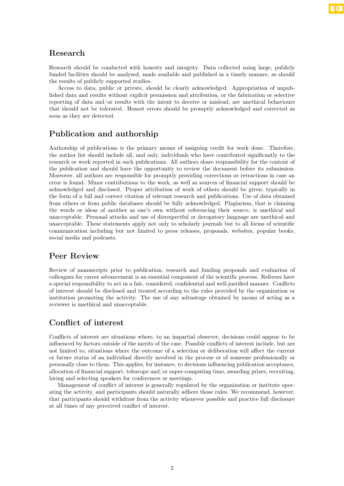### Research

Research should be conducted with honesty and integrity. Data collected using large, publicly funded facilities should be analysed, made available and published in a timely manner, as should the results of publicly supported studies.

Access to data, public or private, should be clearly acknowledged. Appropriation of unpublished data and results without explicit permission and attribution, or the fabrication or selective reporting of data and/or results with the intent to deceive or mislead, are unethical behaviours that should not be tolerated. Honest errors should be promptly acknowledged and corrected as soon as they are detected.

### Publication and authorship

Authorship of publications is the primary means of assigning credit for work done. Therefore, the author list should include all, and only, individuals who have contributed significantly to the research or work reported in such publications. All authors share responsibility for the content of the publication and should have the opportunity to review the document before its submission. Moreover, all authors are responsible for promptly providing corrections or retractions in case an error is found. Minor contributions to the work, as well as sources of financial support should be acknowledged and disclosed. Proper attribution of work of others should be given, typically in the form of a full and correct citation of relevant research and publications. Use of data obtained from others or from public databases should be fully acknowledged. Plagiarism, that is claiming the words or ideas of another as one's own without referencing their source, is unethical and unacceptable. Personal attacks and use of disrespectful or derogatory language are unethical and unacceptable. These statements apply not only to scholarly journals but to all forms of scientific communication including but not limited to press releases, proposals, websites, popular books, social media and podcasts.

### Peer Review

Review of manuscripts prior to publication, research and funding proposals and evaluation of colleagues for career advancement is an essential component of the scientific process. Referees have a special responsibility to act in a fair, considered, confidential and well-justified manner. Conflicts of interest should be disclosed and treated according to the rules provided by the organization or institution promoting the activity. The use of any advantage obtained by means of acting as a reviewer is unethical and unacceptable.

## Conflict of interest

Conflicts of interest are situations where, to an impartial observer, decisions could appear to be influenced by factors outside of the merits of the case. Possible conflicts of interest include, but are not limited to, situations where the outcome of a selection or deliberation will affect the current or future status of an individual directly involved in the process or of someone professionally or personally close to them. This applies, for instance, to decisions influencing publication acceptance, allocation of financial support, telescope and/or super-computing time, awarding prizes, recruiting, hiring and selecting speakers for conferences or meetings.

Management of conflict of interest is generally regulated by the organization or institute operating the activity, and participants should naturally adhere those rules. We recommend, however, that participants should withdraw from the activity whenever possible and practice full disclosure at all times of any perceived conflict of interest.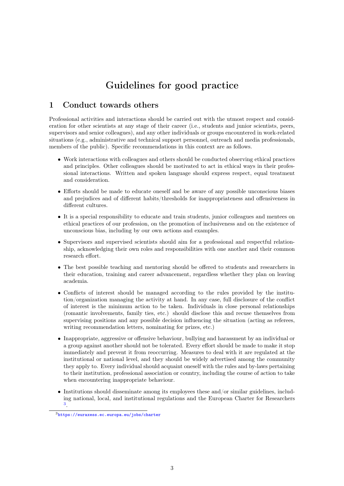# Guidelines for good practice

### 1 Conduct towards others

Professional activities and interactions should be carried out with the utmost respect and consideration for other scientists at any stage of their career (i.e., students and junior scientists, peers, supervisors and senior colleagues), and any other individuals or groups encountered in work-related situations (e.g., administrative and technical support personnel, outreach and media professionals, members of the public). Specific recommendations in this context are as follows.

- Work interactions with colleagues and others should be conducted observing ethical practices and principles. Other colleagues should be motivated to act in ethical ways in their professional interactions. Written and spoken language should express respect, equal treatment and consideration.
- Efforts should be made to educate oneself and be aware of any possible unconscious biases and prejudices and of different habits/thresholds for inappropriateness and offensiveness in different cultures.
- It is a special responsibility to educate and train students, junior colleagues and mentees on ethical practices of our profession, on the promotion of inclusiveness and on the existence of unconscious bias, including by our own actions and examples.
- Supervisors and supervised scientists should aim for a professional and respectful relationship, acknowledging their own roles and responsibilities with one another and their common research effort.
- The best possible teaching and mentoring should be offered to students and researchers in their education, training and career advancement, regardless whether they plan on leaving academia.
- Conflicts of interest should be managed according to the rules provided by the institution/organization managing the activity at hand. In any case, full disclosure of the conflict of interest is the minimum action to be taken. Individuals in close personal relationships (romantic involvements, family ties, etc.) should disclose this and recuse themselves from supervising positions and any possible decision influencing the situation (acting as referees, writing recommendation letters, nominating for prizes, etc.)
- Inappropriate, aggressive or offensive behaviour, bullying and harassment by an individual or a group against another should not be tolerated. Every effort should be made to make it stop immediately and prevent it from reoccurring. Measures to deal with it are regulated at the institutional or national level, and they should be widely advertised among the community they apply to. Every individual should acquaint oneself with the rules and by-laws pertaining to their institution, professional association or country, including the course of action to take when encountering inappropriate behaviour.
- Institutions should disseminate among its employees these and/or similar guidelines, including national, local, and institutional regulations and the European Charter for Researchers 3.

<sup>3</sup>https://euraxess.ec.europa.eu/jobs/charter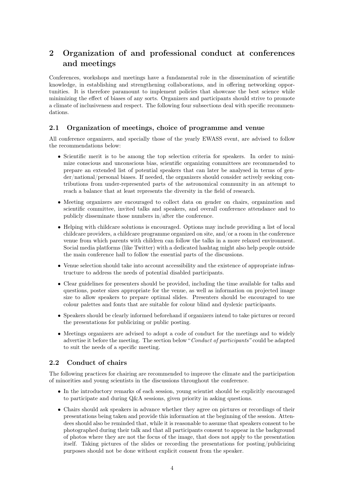# 2 Organization of and professional conduct at conferences and meetings

Conferences, workshops and meetings have a fundamental role in the dissemination of scientific knowledge, in establishing and strengthening collaborations, and in offering networking opportunities. It is therefore paramount to implement policies that showcase the best science while minimizing the effect of biases of any sorts. Organizers and participants should strive to promote a climate of inclusiveness and respect. The following four subsections deal with specific recommendations.

### 2.1 Organization of meetings, choice of programme and venue

All conference organizers, and specially those of the yearly EWASS event, are advised to follow the recommendations below:

- Scientific merit is to be among the top selection criteria for speakers. In order to minimize conscious and unconscious bias, scientific organizing committees are recommended to prepare an extended list of potential speakers that can later be analysed in terms of gender/national/personal biases. If needed, the organizers should consider actively seeking contributions from under-represented parts of the astronomical community in an attempt to reach a balance that at least represents the diversity in the field of research.
- Meeting organizers are encouraged to collect data on gender on chairs, organization and scientific committee, invited talks and speakers, and overall conference attendance and to publicly disseminate those numbers in/after the conference.
- Helping with childcare solutions is encouraged. Options may include providing a list of local childcare providers, a childcare programme organized on site, and/or a room in the conference venue from which parents with children can follow the talks in a more relaxed environment. Social media platforms (like Twitter) with a dedicated hashtag might also help people outside the main conference hall to follow the essential parts of the discussions.
- Venue selection should take into account accessibility and the existence of appropriate infrastructure to address the needs of potential disabled participants.
- Clear guidelines for presenters should be provided, including the time available for talks and questions, poster sizes appropriate for the venue, as well as information on projected image size to allow speakers to prepare optimal slides. Presenters should be encouraged to use colour palettes and fonts that are suitable for colour blind and dyslexic participants.
- Speakers should be clearly informed beforehand if organizers intend to take pictures or record the presentations for publicizing or public posting.
- Meetings organizers are advised to adopt a code of conduct for the meetings and to widely advertise it before the meeting. The section below "*Conduct of participants"* could be adapted to suit the needs of a specific meeting.

#### 2.2 Conduct of chairs

The following practices for chairing are recommended to improve the climate and the participation of minorities and young scientists in the discussions throughout the conference.

- In the introductory remarks of each session, young scientist should be explicitly encouraged to participate and during Q&A sessions, given priority in asking questions.
- Chairs should ask speakers in advance whether they agree on pictures or recordings of their presentations being taken and provide this information at the beginning of the session. Attendees should also be reminded that, while it is reasonable to assume that speakers consent to be photographed during their talk and that all participants consent to appear in the background of photos where they are not the focus of the image, that does not apply to the presentation itself. Taking pictures of the slides or recording the presentations for posting/publicizing purposes should not be done without explicit consent from the speaker.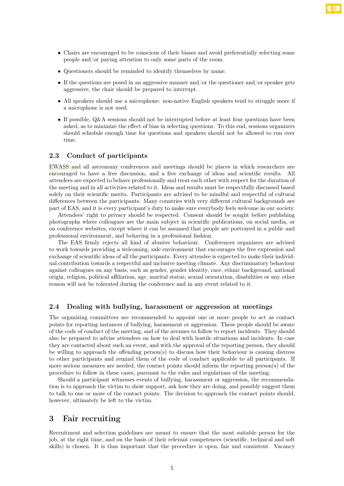- Chairs are encouraged to be conscious of their biases and avoid preferentially selecting some people and/or paying attention to only some parts of the room.
- *•* Questioners should be reminded to identify themselves by name.
- If the questions are posed in an aggressive manner and/or the questioner and/or speaker gets aggressive, the chair should be prepared to interrupt.
- All speakers should use a microphone: non-native English speakers tend to struggle more if a microphone is not used.
- If possible,  $Q\&A$  sessions should not be interrupted before at least four questions have been asked, as to minimize the effect of bias in selecting questions. To this end, sessions organizers should schedule enough time for questions and speakers should not be allowed to run over time.

#### 2.3 Conduct of participants

EWASS and all astronomy conferences and meetings should be places in which researchers are encouraged to have a free discussion, and a free exchange of ideas and scientific results. All attendees are expected to behave professionally and treat each other with respect for the duration of the meeting and in all activities related to it. Ideas and results must be respectfully discussed based solely on their scientific merits. Participants are advised to be mindful and respectful of cultural differences between the participants. Many countries with very different cultural backgrounds are part of EAS, and it is every participant's duty to make sure everybody feels welcome in our society.

Attendees' right to privacy should be respected. Consent should be sought before publishing photographs where colleagues are the main subject in scientific publications, on social media, or on conference websites, except where it can be assumed that people are portrayed in a public and professional environment, and behaving in a professional fashion.

The EAS firmly rejects all kind of abusive behaviour. Conferences organizers are advised to work towards providing a welcoming, safe environment that encourages the free expression and exchange of scientific ideas of all the participants. Every attendee is expected to make their individual contribution towards a respectful and inclusive meeting climate. Any discriminatory behaviour against colleagues on any basis, such as gender, gender identity, race, ethnic background, national origin, religion, political affiliation, age, marital status, sexual orientation, disabilities or any other reason will not be tolerated during the conference and in any event related to it.

#### 2.4 Dealing with bullying, harassment or aggression at meetings

The organizing committees are recommended to appoint one or more people to act as contact points for reporting instances of bullying, harassment or aggression. These people should be aware of the code of conduct of the meeting, and of the avenues to follow to report incidents. They should also be prepared to advise attendees on how to deal with hostile situations and incidents. In case they are contacted about such an event, and with the approval of the reporting person, they should be willing to approach the offending person(s) to discuss how their behaviour is causing distress to other participants and remind them of the code of conduct applicable to all participants. If more serious measures are needed, the contact points should inform the reporting person(s) of the procedure to follow in these cases, pursuant to the rules and regulations of the meeting.

Should a participant witnesses events of bullying, harassment or aggression, the recommendation is to approach the victim to show support, ask how they are doing, and possibly suggest them to talk to one or more of the contact points. The decision to approach the contact points should, however, ultimately be left to the victim.

### 3 Fair recruiting

Recruitment and selection guidelines are meant to ensure that the most suitable person for the job, at the right time, and on the basis of their relevant competences (scientific, technical and soft skills) is chosen. It is thus important that the procedure is open, fair and consistent. Vacancy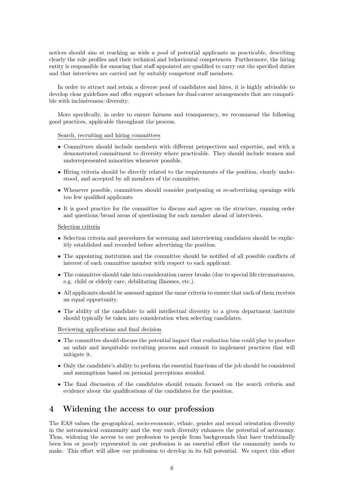notices should aim at reaching as wide a pool of potential applicants as practicable, describing clearly the role profiles and their technical and behavioural competences. Furthermore, the hiring entity is responsible for ensuring that staff appointed are qualified to carry out the specified duties and that interviews are carried out by suitably competent staff members.

In order to attract and retain a diverse pool of candidates and hires, it is highly advisable to develop clear guidelines and offer support schemes for dual-career arrangements that are compatible with inclusiveness/diversity.

More specifically, in order to ensure fairness and transparency, we recommend the following good practices, applicable throughout the process.

#### Search, recruiting and hiring committees

- *•* Committees should include members with different perspectives and expertise, and with a demonstrated commitment to diversity where practicable. They should include women and underrepresented minorities whenever possible.
- Hiring criteria should be directly related to the requirements of the position, clearly understood, and accepted by all members of the committee.
- Whenever possible, committees should consider postponing or re-advertising openings with too few qualified applicants
- It is good practice for the committee to discuss and agree on the structure, running order and questions/broad areas of questioning for each member ahead of interviews.

#### Selection criteria

- Selection criteria and procedures for screening and interviewing candidates should be explicitly established and recorded before advertising the position.
- The appointing institution and the committee should be notified of all possible conflicts of interest of each committee member with respect to each applicant.
- The committee should take into consideration career breaks (due to special life circumstances, e.g. child or elderly care, debilitating illnesses, etc.).
- All applicants should be assessed against the same criteria to ensure that each of them receives an equal opportunity.
- The ability of the candidate to add intellectual diversity to a given department/institute should typically be taken into consideration when selecting candidates.

#### Reviewing applications and final decision

- The committee should discuss the potential impact that evaluation bias could play to produce an unfair and inequitable recruiting process and commit to implement practices that will mitigate it.
- Only the candidate's ability to perform the essential functions of the job should be considered and assumptions based on personal perceptions avoided.
- The final discussion of the candidates should remain focused on the search criteria and evidence about the qualifications of the candidates for the position.

### 4 Widening the access to our profession

The EAS values the geographical, socio-economic, ethnic, gender and sexual orientation diversity in the astronomical community and the way such diversity enhances the potential of astronomy. Thus, widening the access to our profession to people from backgrounds that have traditionally been less or poorly represented in our profession is an essential effort the community needs to make. This effort will allow our profession to develop in its full potential. We expect this effort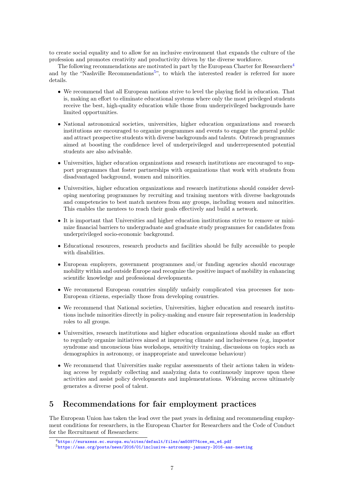to create social equality and to allow for an inclusive environment that expands the culture of the profession and promotes creativity and productivity driven by the diverse workforce.

The following recommendations are motivated in part by the European Charter for Researchers<sup>4</sup> and by the "Nashville Recommendations<sup>5</sup>", to which the interested reader is referred for more details.

- We recommend that all European nations strive to level the playing field in education. That is, making an effort to eliminate educational systems where only the most privileged students receive the best, high-quality education while those from underprivileged backgrounds have limited opportunities.
- National astronomical societies, universities, higher education organizations and research institutions are encouraged to organize programmes and events to engage the general public and attract prospective students with diverse backgrounds and talents. Outreach programmes aimed at boosting the confidence level of underprivileged and underrepresented potential students are also advisable.
- Universities, higher education organizations and research institutions are encouraged to support programmes that foster partnerships with organizations that work with students from disadvantaged background, women and minorities.
- Universities, higher education organizations and research institutions should consider developing mentoring programmes by recruiting and training mentors with diverse backgrounds and competencies to best match mentees from any groups, including women and minorities. This enables the mentees to reach their goals effectively and build a network.
- It is important that Universities and higher education institutions strive to remove or minimize financial barriers to undergraduate and graduate study programmes for candidates from underprivileged socio-economic background.
- Educational resources, research products and facilities should be fully accessible to people with disabilities.
- European employers, government programmes and/or funding agencies should encourage mobility within and outside Europe and recognize the positive impact of mobility in enhancing scientific knowledge and professional developments.
- We recommend European countries simplify unfairly complicated visa processes for non-European citizens, especially those from developing countries.
- We recommend that National societies, Universities, higher education and research institutions include minorities directly in policy-making and ensure fair representation in leadership roles to all groups.
- Universities, research institutions and higher education organizations should make an effort to regularly organize initiatives aimed at improving climate and inclusiveness (e,g, impostor syndrome and unconscious bias workshops, sensitivity training, discussions on topics such as demographics in astronomy, or inappropriate and unwelcome behaviour)
- We recommend that Universities make regular assessments of their actions taken in widening access by regularly collecting and analyzing data to continuously improve upon these activities and assist policy developments and implementations. Widening access ultimately generates a diverse pool of talent.

## 5 Recommendations for fair employment practices

The European Union has taken the lead over the past years in defining and recommending employment conditions for researchers, in the European Charter for Researchers and the Code of Conduct for the Recruitment of Researchers:

<sup>4</sup>https://euraxess.ec.europa.eu/sites/default/files/am509774cee\_en\_e4.pdf <sup>5</sup>https://aas.org/posts/news/2016/01/inclusive-astronomy-january-2016-aas-meeting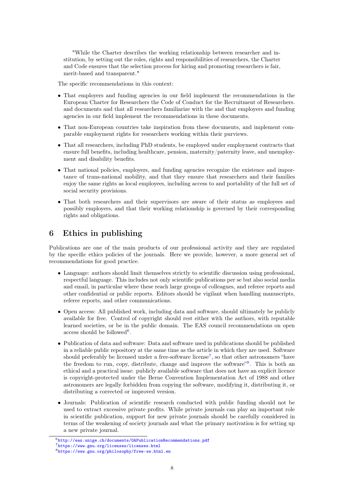"While the Charter describes the working relationship between researcher and institution, by setting out the roles, rights and responsibilities of researchers, the Charter and Code ensures that the selection process for hiring and promoting researchers is fair, merit-based and transparent."

The specific recommendations in this context:

- That employers and funding agencies in our field implement the recommendations in the European Charter for Researchers the Code of Conduct for the Recruitment of Researchers. and documents and that all researchers familiarize with the and that employers and funding agencies in our field implement the recommendations in these documents.
- That non-European countries take inspiration from these documents, and implement comparable employment rights for researchers working within their purviews.
- That all researchers, including PhD students, be employed under employment contracts that ensure full benefits, including healthcare, pension, maternity/paternity leave, and unemployment and disability benefits.
- That national policies, employers, and funding agencies recognize the existence and importance of trans-national mobility, and that they ensure that researchers and their families enjoy the same rights as local employees, including access to and portability of the full set of social security provisions.
- That both researchers and their supervisors are aware of their status as employees and possibly employers, and that their working relationship is governed by their corresponding rights and obligations.

### 6 Ethics in publishing

Publications are one of the main products of our professional activity and they are regulated by the specific ethics policies of the journals. Here we provide, however, a more general set of recommendations for good practice.

- Language: authors should limit themselves strictly to scientific discussion using professional, respectful language. This includes not only scientific publications per se but also social media and email, in particular where these reach large groups of colleagues, and referee reports and other confidential or public reports. Editors should be vigilant when handling manuscripts, referee reports, and other communications.
- Open access: All published work, including data and software, should ultimately be publicly available for free. Control of copyright should rest either with the authors, with reputable learned societies, or be in the public domain. The EAS council recommendations on open access should be followed<sup>6</sup>.
- Publication of data and software: Data and software used in publications should be published in a reliable public repository at the same time as the article in which they are used. Software should preferably be licensed under a free-software license<sup>7</sup>, so that other astronomers "have the freedom to run, copy, distribute, change and improve the software"<sup>8</sup>. This is both an ethical and a practical issue: publicly available software that does not have an explicit licence is copyright-protected under the Berne Convention Implementation Act of 1988 and other astronomers are legally forbidden from copying the software, modifying it, distributing it, or distributing a corrected or improved version.
- Journals: Publication of scientific research conducted with public funding should not be used to extract excessive private profits. While private journals can play an important role in scientific publication, support for new private journals should be carefully considered in terms of the weakening of society journals and what the primary motivation is for setting up a new private journal.

<sup>6</sup>http://eas.unige.ch/documents/OAPublicationRecommendations.pdf

<sup>7</sup>https://www.gnu.org/licenses/licenses.html

<sup>8</sup>https://www.gnu.org/philosophy/free-sw.html.en